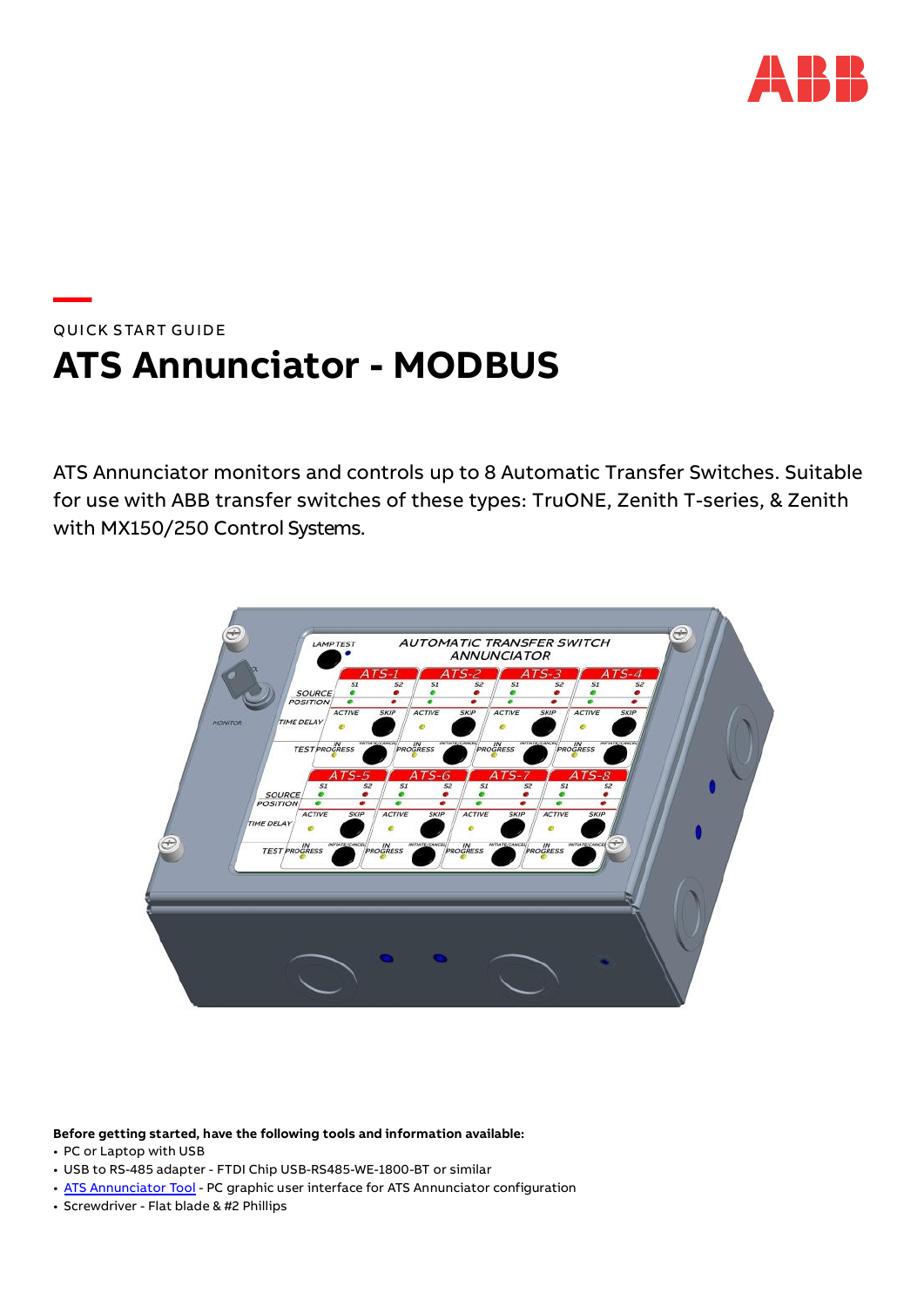

# **—**  QUICK START GUIDE **ATS Annunciator - MODBUS**

ATS Annunciator monitors and controls up to 8 Automatic Transfer Switches. Suitable for use with ABB transfer switches of these types: TruONE, Zenith T-series, & Zenith with MX150/250 Control Systems.



**Before getting started, have the following tools and information available:** 

- PC or Laptop with USB
- USB to RS-485 adapter FTDI Chip USB-RS485-WE-1800-BT or similar
- • [ATS Annunciator Tool](https://library.industrialsolutions.abb.com/publibrary/checkout/8600138803P?TNR=Software%7C8600138803P%7CZip) PC graphic user interface for ATS Annunciator configuration
- Screwdriver Flat blade & #2 Phillips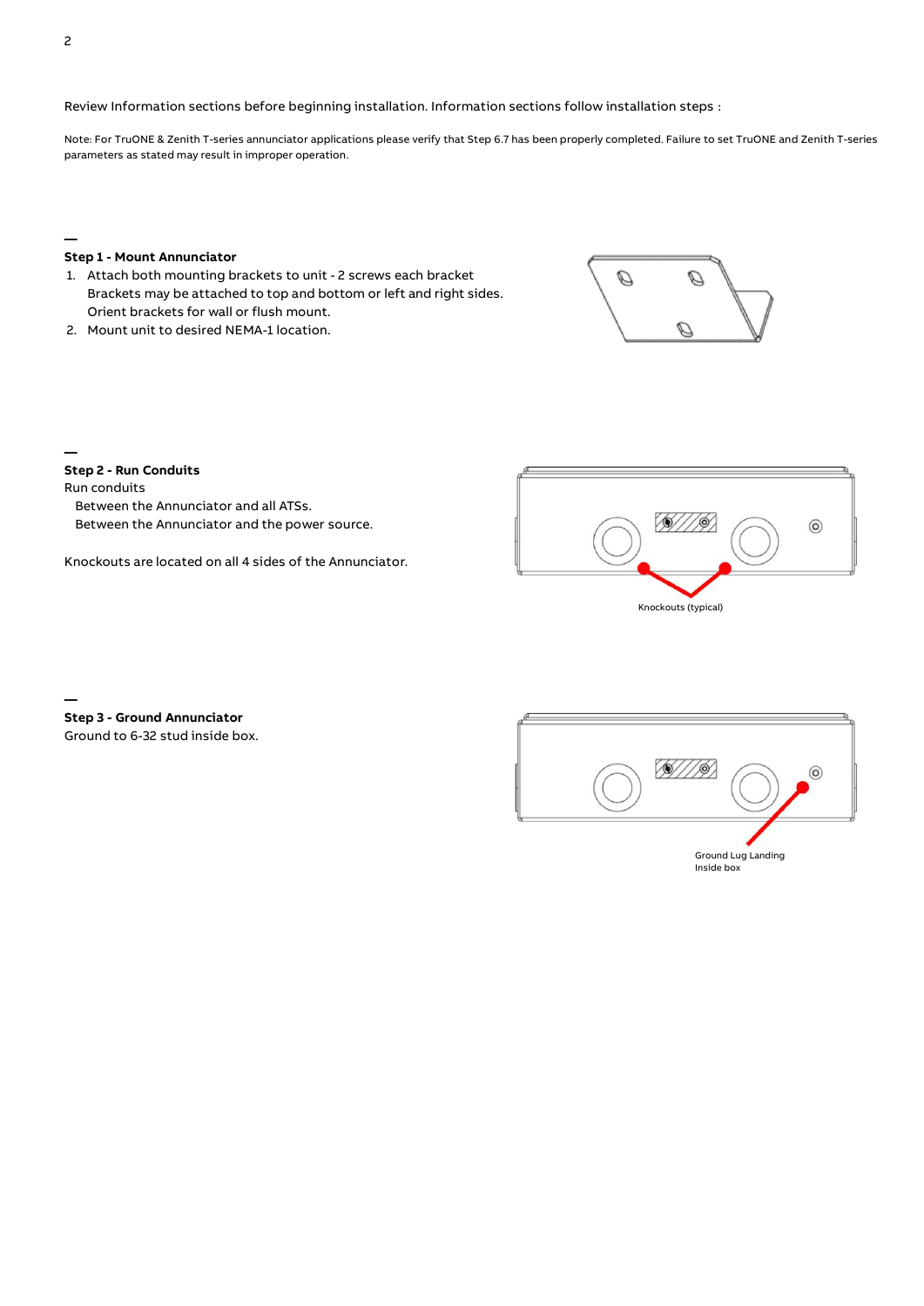Review Information sections before beginning installation. Information sections follow installation steps :

Note: For TruONE & Zenith T-series annunciator applications please verify that Step 6.7 has been properly completed. Failure to set TruONE and Zenith T-series parameters as stated may result in improper operation.

**—**

### **Step 1 - Mount Annunciator**

- 1. Attach both mounting brackets to unit 2 screws each bracket Brackets may be attached to top and bottom or left and right sides. Orient brackets for wall or flush mount.
- 2. Mount unit to desired NEMA-1 location.



**— Step 2 - Run Conduits**

Run conduits

**—**

Between the Annunciator and all ATSs. Between the Annunciator and the power source.

Knockouts are located on all 4 sides of the Annunciator.



**Step 3 - Ground Annunciator** Ground to 6-32 stud inside box.

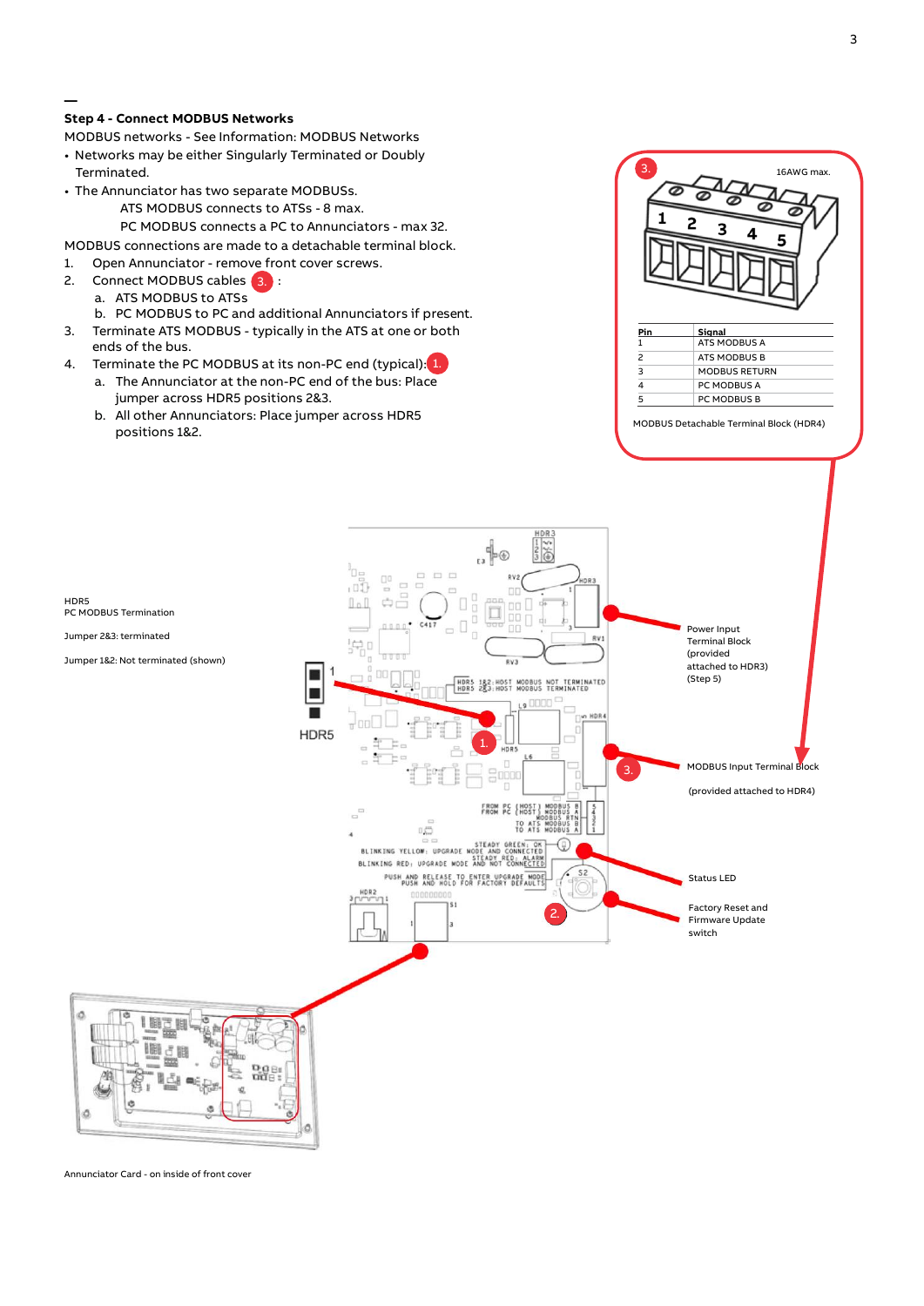# **Step 4 - Connect MODBUS Networks**

**—**

MODBUS networks - See Information: MODBUS Networks

- Networks may be either Singularly Terminated or Doubly Terminated.
- The Annunciator has two separate MODBUSs.

# ATS MODBUS connects to ATSs - 8 max.

PC MODBUS connects a PC to Annunciators - max 32.

MODBUS connections are made to a detachable terminal block.

- 1. Open Annunciator remove front cover screws.
- 2. Connect MODBUS cables 3.
	- a. ATS MODBUS to ATSs
	- b. PC MODBUS to PC and additional Annunciators if present.
- 3. Terminate ATS MODBUS typically in the ATS at one or both ends of the bus.
- 4. Terminate the PC MODBUS at its non-PC end (typical):<mark>[1.</mark>
	- a. The Annunciator at the non-PC end of the bus: Place jumper across HDR5 positions 2&3.
	- b. All other Annunciators: Place jumper across HDR5 positions 1&2.



MODBUS Detachable Terminal Block (HDR4)



Annunciator Card - on inside of front cover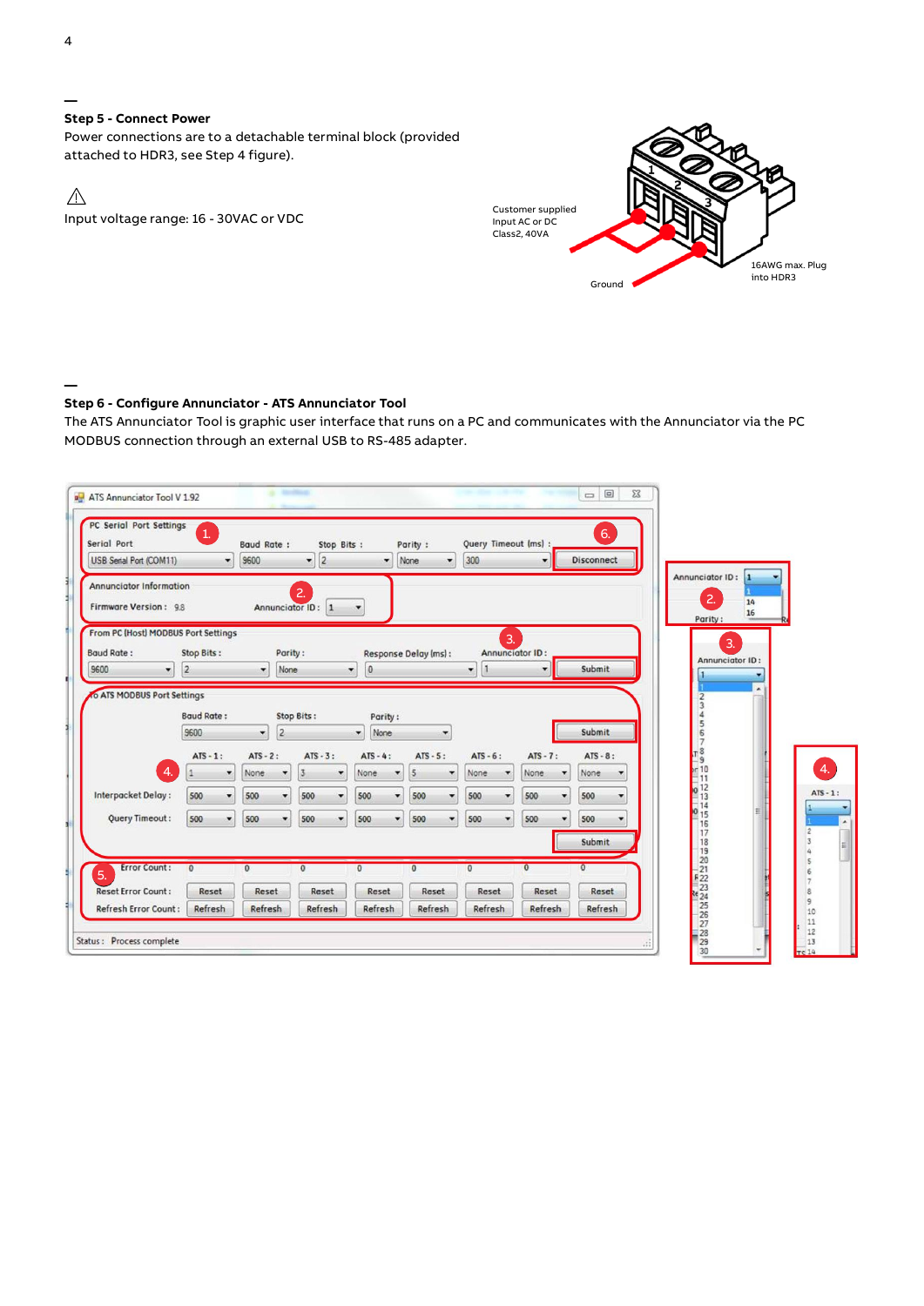**Step 5 - Connect Power** Power connections are to a detachable terminal block (provided attached to HDR3, see Step 4 figure).

 $\triangle$ Input voltage range: 16 - 30VAC or VDC



#### **— Step 6 - Configure Annunciator - ATS Annunciator Tool**

The ATS Annunciator Tool is graphic user interface that runs on a PC and communicates with the Annunciator via the PC MODBUS connection through an external USB to RS-485 adapter.

| Serial Port<br>USB Serial Port (COM11)                           | PC Serial Port Settings<br>۰ | Baud Rate:<br>9600 | 2 <br>۰                             | Stop Bits:           | ۰              | Parity :<br>None<br>۰       | Query Timeout (ms) :<br>300 |         | ۰                            | 6.<br><b>Disconnect</b> |         |                                                                 |                       |             |
|------------------------------------------------------------------|------------------------------|--------------------|-------------------------------------|----------------------|----------------|-----------------------------|-----------------------------|---------|------------------------------|-------------------------|---------|-----------------------------------------------------------------|-----------------------|-------------|
| <b>Annunciator Information</b><br>Firmware Version: 9.8          |                              |                    | $\overline{2}$<br>Annunciator ID: 1 |                      |                |                             |                             |         |                              |                         |         | Annunciator ID:<br>2.                                           | 14<br>16              |             |
| From PC (Host) MODBUS Port Settings<br><b>Baud Rate:</b><br>9600 | Stop Bits:<br>$\overline{2}$ | ۰                  | Parity:<br>None                     | ۰                    | $\overline{0}$ | Response Delay (ms):        | ۰                           | 3.      | Annunciator ID:<br>٠         | Submit                  |         | Parity:                                                         | 3.<br>Annunciator ID: |             |
| <b>O ATS MODBUS Port Settings</b>                                |                              |                    |                                     |                      |                |                             |                             |         |                              |                         |         |                                                                 |                       |             |
|                                                                  |                              |                    |                                     |                      |                |                             |                             |         |                              |                         |         |                                                                 |                       |             |
|                                                                  | <b>Baud Rate:</b>            |                    | Stop Bits:                          |                      | Parity:        |                             |                             |         |                              |                         |         |                                                                 |                       |             |
|                                                                  | 9600                         | 2<br>×             |                                     | ۰                    | None           |                             |                             |         |                              | Submit                  |         | $\frac{6}{7}$                                                   |                       |             |
|                                                                  | $ATS - 1:$                   | $ATS - 2:$         | $ATS - 3:$                          |                      | $ATS - 4:$     | $ATS - 5:$                  | $ATS - 6:$                  |         | $ATS - 7:$                   | $ATS - 8:$              |         |                                                                 |                       |             |
| $\overline{4}$                                                   | ۰                            | None               | $\overline{3}$                      | $\blacktriangledown$ | None<br>۰      | 5<br>$\blacktriangledown$   | None                        |         | None<br>$\blacktriangledown$ | None                    |         | T 8<br>- 9<br>- 10<br>- 11                                      |                       |             |
|                                                                  | 500<br>٠                     | 500                | 500                                 | $\bullet$            | 500<br>۰       | 500<br>$\blacktriangledown$ | 500                         |         | 500<br>۰                     | 500                     | $\cdot$ |                                                                 |                       | $ATS - 1$ : |
| Interpacket Delay:<br>Query Timeout:                             | 500<br>۰                     | 500                | 500<br>۰                            | $\cdot$              | 500<br>۰       | 500<br>۰                    | 500                         | $\cdot$ | 500<br>۰                     | 500                     | ۰       | $\frac{1}{2}$<br>$\frac{12}{13}$<br>$\frac{14}{15}$<br>15<br>16 |                       |             |
|                                                                  |                              |                    |                                     |                      |                |                             |                             |         |                              | Submit                  |         | 17<br>18                                                        |                       |             |
| <b>Error Count:</b>                                              | $\Omega$                     | $\Omega$           | $\overline{0}$                      | $\mathbf{0}$         |                | $\mathbf{0}$                | $\mathbf{0}$                |         | $\overline{0}$               |                         |         | $\frac{19}{20}$                                                 |                       |             |
| 5.<br><b>Reset Error Count:</b>                                  | Reset                        | Reset              | Reset                               |                      | Reset          | Reset                       | Reset                       |         | Reset                        | Reset                   |         | $+22$<br>$-23$<br>24<br>24<br>25<br>26<br>27<br>28<br>29        |                       |             |

4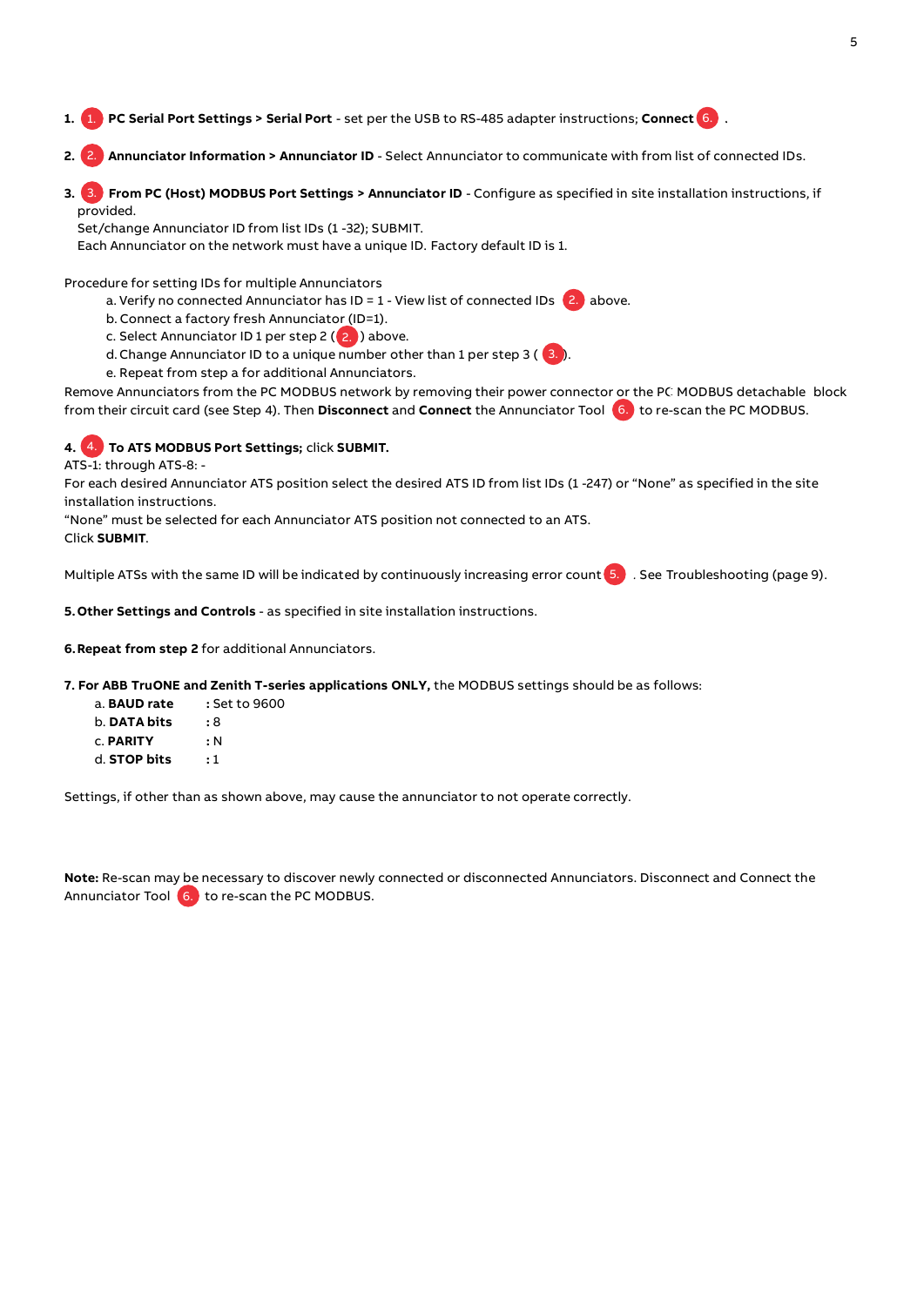- **1. PC Serial Port Settings > Serial Port**  set per the USB to RS-485 adapter instructions; **Connect .** 1. 6. 1.
- **2. Annunciator Information > Annunciator ID**  Select Annunciator to communicate with from list of connected IDs. 2. 2.
- **3. From PC (Host) MODBUS Port Settings > Annunciator ID**  Configure as specified in site installation instructions, if 3. 3 provided. 1. PC Serial Port Settings > Serial Port - set per the USB to RS-485 adapter instructions; Connect 6.<br>2. Annunciator Information > Annunciator ID - Select Annunciator to communicate with from list of<br>3. From PC (Host) MODB

Set/change Annunciator ID from list IDs (1 -32); SUBMIT.

Each Annunciator on the network must have a unique ID. Factory default ID is 1.

Procedure for setting IDs for multiple Annunciators

- a. Verify no connected Annunciator has ID = 1 View list of connected IDs 2. above.
- b. Connect a factory fresh Annunciator (ID=1).
- c. Select Annunciator ID 1 per step 2 (<mark>2. )</mark> above.
- d. Change Annunciator ID to a unique number other than 1 per step 3 ( $\,$  (3. ).
- e. Repeat from step a for additional Annunciators.

Remove Annunciators from the PC MODBUS network by removing their power connector or the PC MODBUS detachable block 6. from their circuit card (see Step 4). Then **Disconnect** and **Connect** the Annunciator Tool to re-scan the PC MODBUS. 6.

# **4. To ATS MODBUS Port Settings;** click **SUBMIT.** 4. 4.

ATS-1: through ATS-8: -

For each desired Annunciator ATS position select the desired ATS ID from list IDs (1 -247) or "None" as specified in the site installation instructions.

"None" must be selected for each Annunciator ATS position not connected to an ATS.

Click **SUBMIT**.

Multiple ATSs with the same ID will be indicated by continuously increasing error count (5. ) . See Troubleshooting (page 9).

**5.Other Settings and Controls** - as specified in site installation instructions.

**6.Repeat from step 2** for additional Annunciators.

**7. For ABB TruONE and Zenith T-series applications ONLY,** the MODBUS settings should be as follows:

| a. BAUD rate        | : Set to 9600 |
|---------------------|---------------|
| b. <b>DATA bits</b> | : 8           |
| <b>C. PARITY</b>    | : N           |

d. **STOP bits :** 1

Settings, if other than as shown above, may cause the annunciator to not operate correctly.

**Note:** Re-scan may be necessary to discover newly connected or disconnected Annunciators. Disconnect and Connect the Annunciator Tool <mark>(6.)</mark>to re-scan the PC MODBUS.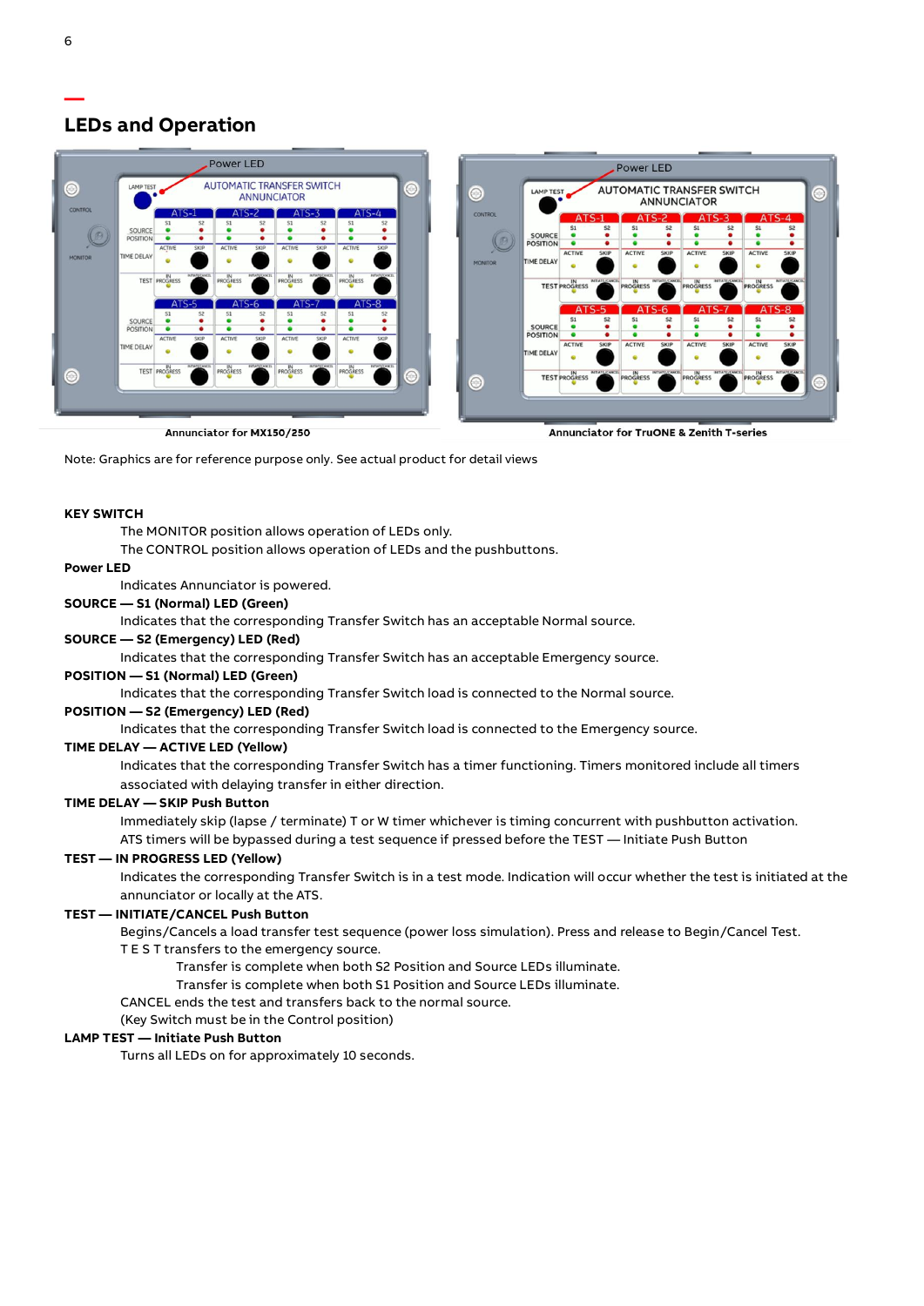# **LEDs and Operation**

| <b>Power LED</b> |                                                                                       |               |                           |                 |                           |          |                           |           |                     |   |         | <b>Power LED</b> |                                                        |               |                      |                |                 |                                          |                       |                       |                 |  |
|------------------|---------------------------------------------------------------------------------------|---------------|---------------------------|-----------------|---------------------------|----------|---------------------------|-----------|---------------------|---|---------|------------------|--------------------------------------------------------|---------------|----------------------|----------------|-----------------|------------------------------------------|-----------------------|-----------------------|-----------------|--|
| $\odot$          | <b>AUTOMATIC TRANSFER SWITCH</b><br>$\odot$<br><b>LAMP TEST</b><br><b>ANNUNCIATOR</b> |               |                           |                 |                           |          |                           |           |                     |   | $\odot$ | <b>LAMP TEST</b> | <b>AUTOMATIC TRANSFER SWITCH</b><br><b>ANNUNCIATOR</b> |               |                      |                |                 |                                          |                       |                       | $\odot$         |  |
| <b>CONTROL</b>   |                                                                                       | ATS-1         | S <sub>2</sub>            |                 | S2                        | S1       | S <sub>2</sub>            | S1        | ATS-4               |   |         | <b>CONTROL</b>   |                                                        | А             |                      |                |                 |                                          |                       |                       | ATS-4           |  |
|                  | SOURCE<br><b>POSITION</b>                                                             |               |                           |                 |                           |          |                           |           |                     |   |         |                  | <b>SOURCE</b>                                          |               | S <sub>2</sub>       |                | S <sub>2</sub>  |                                          | S <sub>2</sub>        |                       | S <sub>2</sub>  |  |
|                  |                                                                                       | ACTIVE        | <b>SKIP</b>               | ACTIVE          | SKIP                      | ACTIVE   | <b>SKIP</b>               | ACTIVE    | SKIP                |   |         |                  | <b>POSITION</b>                                        |               |                      |                |                 |                                          |                       |                       |                 |  |
| <b>MONITOR</b>   | <b>TIME DELAY</b>                                                                     |               |                           |                 |                           |          |                           | $\bullet$ |                     |   |         | <b>MONITOR</b>   | <b>TIME DELAY</b>                                      | <b>ACTIVE</b> | <b>SKIP</b>          | <b>ACTIVE</b>  | <b>SKIP</b>     | <b>ACTIVE</b>                            | <b>SKIP</b>           | <b>ACTIVE</b>         | <b>SKIP</b>     |  |
|                  |                                                                                       | TEST PROGRESS | <b>INTIATE/CANCE</b>      | <b>PROGRESS</b> | <b>INTAPECANCE</b>        | PROGRESS | <b>NEWTO: ANCIS</b>       | PROGRESS  | <b>INTWESTANCE</b>  |   |         |                  |                                                        | TEST PROGRESS | <b>NITATE/CANCEL</b> | PROGRESS       | INITIATE/CANCEL | IN<br><b>PROGRESS</b>                    | <b>INTIATE/CANCEL</b> | IN<br><b>PROGRESS</b> | INITIATE/CANCEL |  |
|                  |                                                                                       | ATS-5         |                           | A               |                           |          |                           | A         | $TS-8$              |   |         |                  |                                                        |               | $ATS-5$              | A              |                 |                                          |                       |                       | ATS-8           |  |
|                  | SOURCE                                                                                |               | 52                        |                 |                           | S1       |                           | S.        |                     |   |         |                  |                                                        |               | S <sub>2</sub>       | S1             | S <sub>2</sub>  | S1                                       | S2                    | S1                    | S <sub>2</sub>  |  |
|                  | <b>POSITION</b>                                                                       |               |                           |                 |                           |          |                           |           |                     |   |         |                  | <b>SOURCE</b>                                          |               |                      |                |                 |                                          |                       |                       |                 |  |
|                  |                                                                                       | <b>ACTIVE</b> | <b>SKIP</b>               | ACTIVE          | <b>SKIP</b>               | ACTIVE   | <b>SKIP</b>               | ACTIVE    | SKIP                |   |         |                  | <b>POSITION</b>                                        | ٠             |                      |                |                 |                                          |                       |                       |                 |  |
|                  | <b>TIME DELAY</b>                                                                     |               |                           |                 |                           |          |                           |           |                     |   |         |                  | <b>TIME DELAY</b>                                      | <b>ACTIVE</b> | <b>SKIP</b>          | <b>ACTIVE</b>  | <b>SKIP</b>     | <b>ACTIVE</b>                            | <b>SKIP</b>           | <b>ACTIVE</b>         | <b>SKIP</b>     |  |
| <b>O</b>         |                                                                                       | TEST PROGRESS | <b><i>INTWIECHATA</i></b> | <b>PROGRESS</b> | <b><i>REMISSIONER</i></b> | PROGRESS | <b><i>BITWIECHICA</i></b> | PROGRESS  | <b>INTWEEKANCEL</b> | ⊝ |         | $\bullet$        |                                                        | TEST PROGRESS | INTIATE/CANCEL       | IN<br>PROGRESS | INITIATE/CANCEL | IN<br><b>PROGRESS</b>                    | INTIATI/CANCEL        | IN<br><b>PROGRESS</b> | INITIATE/CANCEL |  |
|                  |                                                                                       |               |                           |                 |                           |          |                           |           |                     |   |         |                  |                                                        |               |                      |                |                 |                                          |                       |                       |                 |  |
|                  |                                                                                       |               |                           |                 |                           |          |                           |           |                     |   |         |                  |                                                        |               |                      |                |                 |                                          |                       |                       |                 |  |
|                  | Annunciator for MX150/250                                                             |               |                           |                 |                           |          |                           |           |                     |   |         |                  |                                                        |               |                      |                |                 | Annunciator for TruONE & Zenith T-series |                       |                       |                 |  |

nnunciator for MX150/250

Note: Graphics are for reference purpose only. See actual product for detail views

#### **KEY SWITCH**

The MONITOR position allows operation of LEDs only.

The CONTROL position allows operation of LEDs and the pushbuttons.

#### **Power LED**

Indicates Annunciator is powered.

#### **SOURCE — S1 (Normal) LED (Green)**

Indicates that the corresponding Transfer Switch has an acceptable Normal source.

#### **SOURCE — S2 (Emergency) LED (Red)**

Indicates that the corresponding Transfer Switch has an acceptable Emergency source.

### **POSITION — S1 (Normal) LED (Green)**

Indicates that the corresponding Transfer Switch load is connected to the Normal source.

# **POSITION — S2 (Emergency) LED (Red)**

Indicates that the corresponding Transfer Switch load is connected to the Emergency source.

### **TIME DELAY — ACTIVE LED (Yellow)**

Indicates that the corresponding Transfer Switch has a timer functioning. Timers monitored include all timers associated with delaying transfer in either direction.

#### **TIME DELAY — SKIP Push Button**

Immediately skip (lapse / terminate) T or W timer whichever is timing concurrent with pushbutton activation.

# ATS timers will be bypassed during a test sequence if pressed before the TEST — Initiate Push Button

# **TEST — IN PROGRESS LED (Yellow)**

Indicates the corresponding Transfer Switch is in a test mode. Indication will occur whether the test is initiated at the annunciator or locally at the ATS.

#### **TEST — INITIATE/CANCEL Push Button**

Begins/Cancels a load transfer test sequence (power loss simulation). Press and release to Begin/Cancel Test. T E S T transfers to the emergency source.

Transfer is complete when both S2 Position and Source LEDs illuminate.

Transfer is complete when both S1 Position and Source LEDs illuminate.

#### CANCEL ends the test and transfers back to the normal source.

(Key Switch must be in the Control position)

#### **LAMP TEST — Initiate Push Button**

Turns all LEDs on for approximately 10 seconds.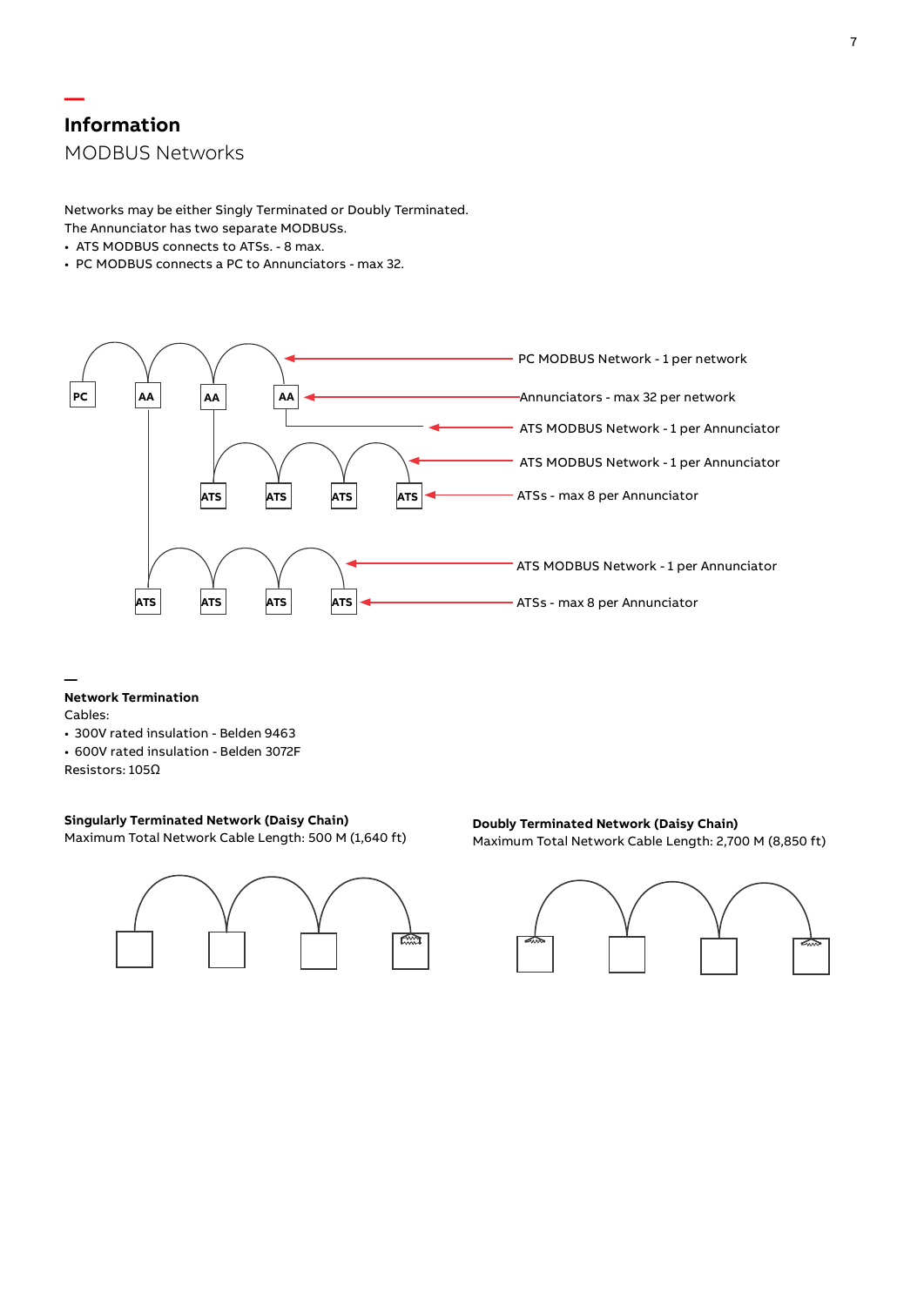# **— Information** MODBUS Networks

Networks may be either Singly Terminated or Doubly Terminated. The Annunciator has two separate MODBUSs.

- ATS MODBUS connects to ATSs. 8 max.
- PC MODBUS connects a PC to Annunciators max 32.



#### **Network Termination**

Cables:

**—**

- 300V rated insulation Belden 9463
- 600V rated insulation Belden 3072F

Resistors: 105Ω

# **Singularly Terminated Network (Daisy Chain)**

Maximum Total Network Cable Length: 500 M (1,640 ft)



# **Doubly Terminated Network (Daisy Chain)** Maximum Total Network Cable Length: 2,700 M (8,850 ft)

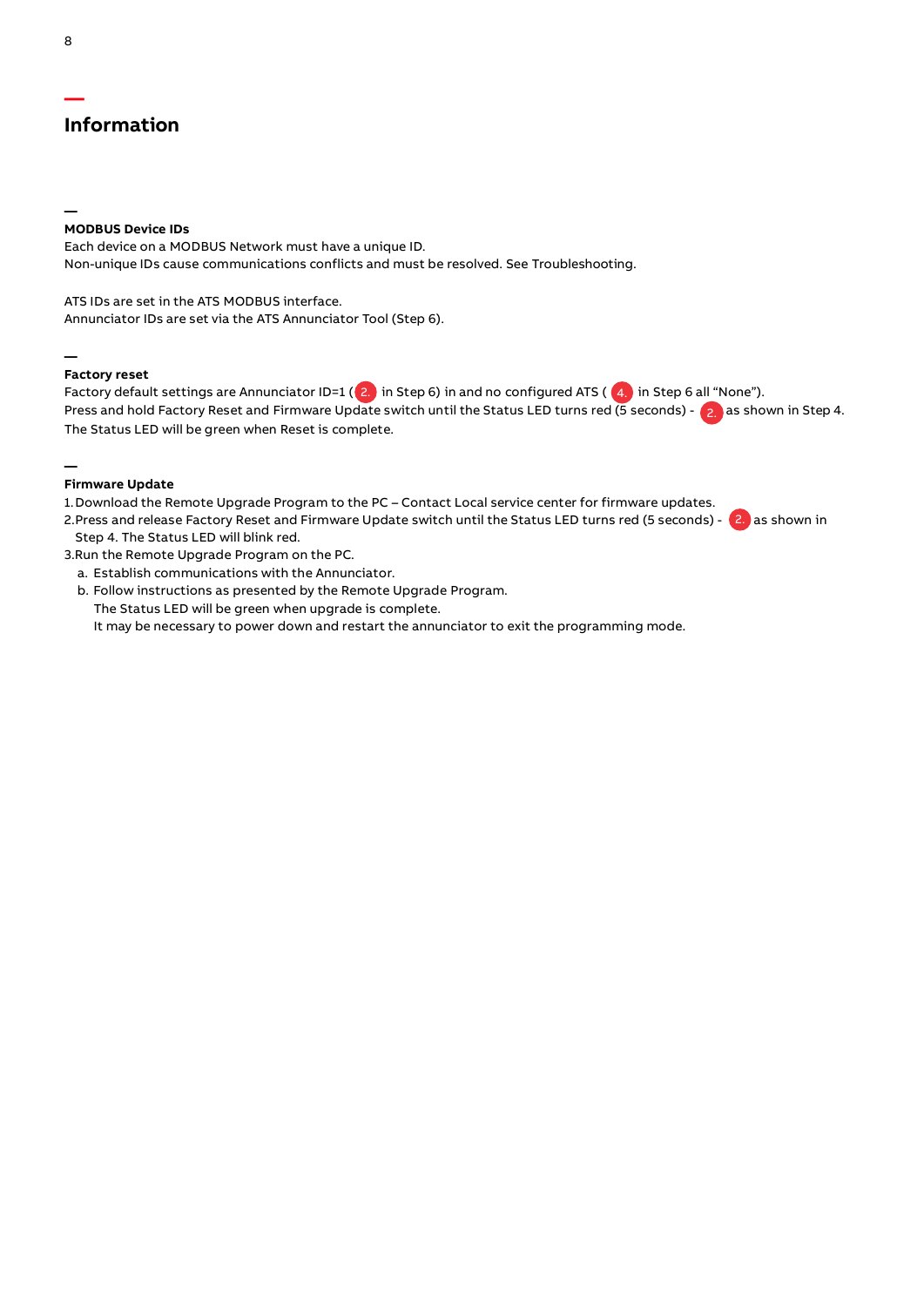# **— Information**

# **MODBUS Device IDs**

Each device on a MODBUS Network must have a unique ID. Non-unique IDs cause communications conflicts and must be resolved. See Troubleshooting.

ATS IDs are set in the ATS MODBUS interface. Annunciator IDs are set via the ATS Annunciator Tool (Step 6).

#### **— Factory reset**

Factory default settings are Annunciator ID=1 (  $2$  ) in Step 6) in and no configured ATS (  $\,$  4.) in Step 6 all "None"). Press and hold Factory Reset and Firmware Update switch until the Status LED turns red (5 seconds) - (2, )as shown in Step 4. The Status LED will be green when Reset is complete.

#### **— Firmware Update**

1.Download the Remote Upgrade Program to the PC – Contact Local service center for firmware updates.

2.Press and release Factory Reset and Firmware Update switch until the Status LED turns red (5 seconds) - 2. as shown in Step 4. The Status LED will blink red.

3.Run the Remote Upgrade Program on the PC.

- a. Establish communications with the Annunciator.
- b. Follow instructions as presented by the Remote Upgrade Program. The Status LED will be green when upgrade is complete. It may be necessary to power down and restart the annunciator to exit the programming mode.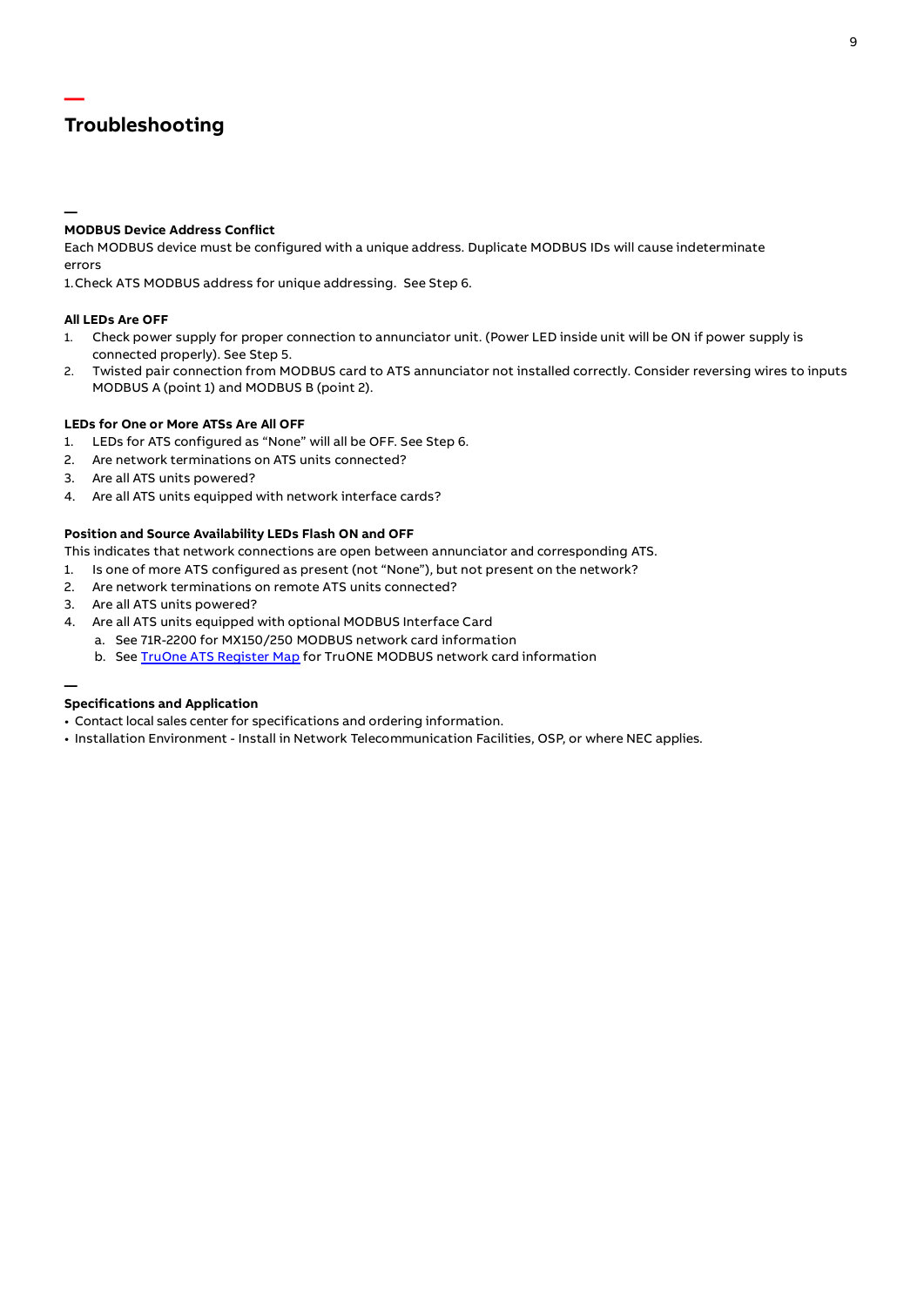# **Troubleshooting**

**—**

**—**

# **MODBUS Device Address Conflict**

Each MODBUS device must be configured with a unique address. Duplicate MODBUS IDs will cause indeterminate errors

1.Check ATS MODBUS address for unique addressing. See Step 6.

# **All LEDs Are OFF**

- 1. Check power supply for proper connection to annunciator unit. (Power LED inside unit will be ON if power supply is connected properly). See Step 5.
- 2. Twisted pair connection from MODBUS card to ATS annunciator not installed correctly. Consider reversing wires to inputs MODBUS A (point 1) and MODBUS B (point 2).

# **LEDs for One or More ATSs Are All OFF**

- 1. LEDs for ATS configured as "None" will all be OFF. See Step 6.
- 2. Are network terminations on ATS units connected?
- 3. Are all ATS units powered?
- 4. Are all ATS units equipped with network interface cards?

# **Position and Source Availability LEDs Flash ON and OFF**

This indicates that network connections are open between annunciator and corresponding ATS.

- 1. Is one of more ATS configured as present (not "None"), but not present on the network?
- 2. Are network terminations on remote ATS units connected?
- 3. Are all ATS units powered?
- 4. Are all ATS units equipped with optional MODBUS Interface Card
	- a. See 71R-2200 for MX150/250 MODBUS network card information
		- b. See [TruOne ATS Register Map](https://search.abb.com/library/Download.aspx?DocumentID=TruOne%20ATS%20Register%20Map&LanguageCode=en&DocumentPartId=&Action=Launch) for TruONE MODBUS network card information

# **Specifications and Application**

- Contact local sales center for specifications and ordering information.
- Installation Environment Install in Network Telecommunication Facilities, OSP, or where NEC applies.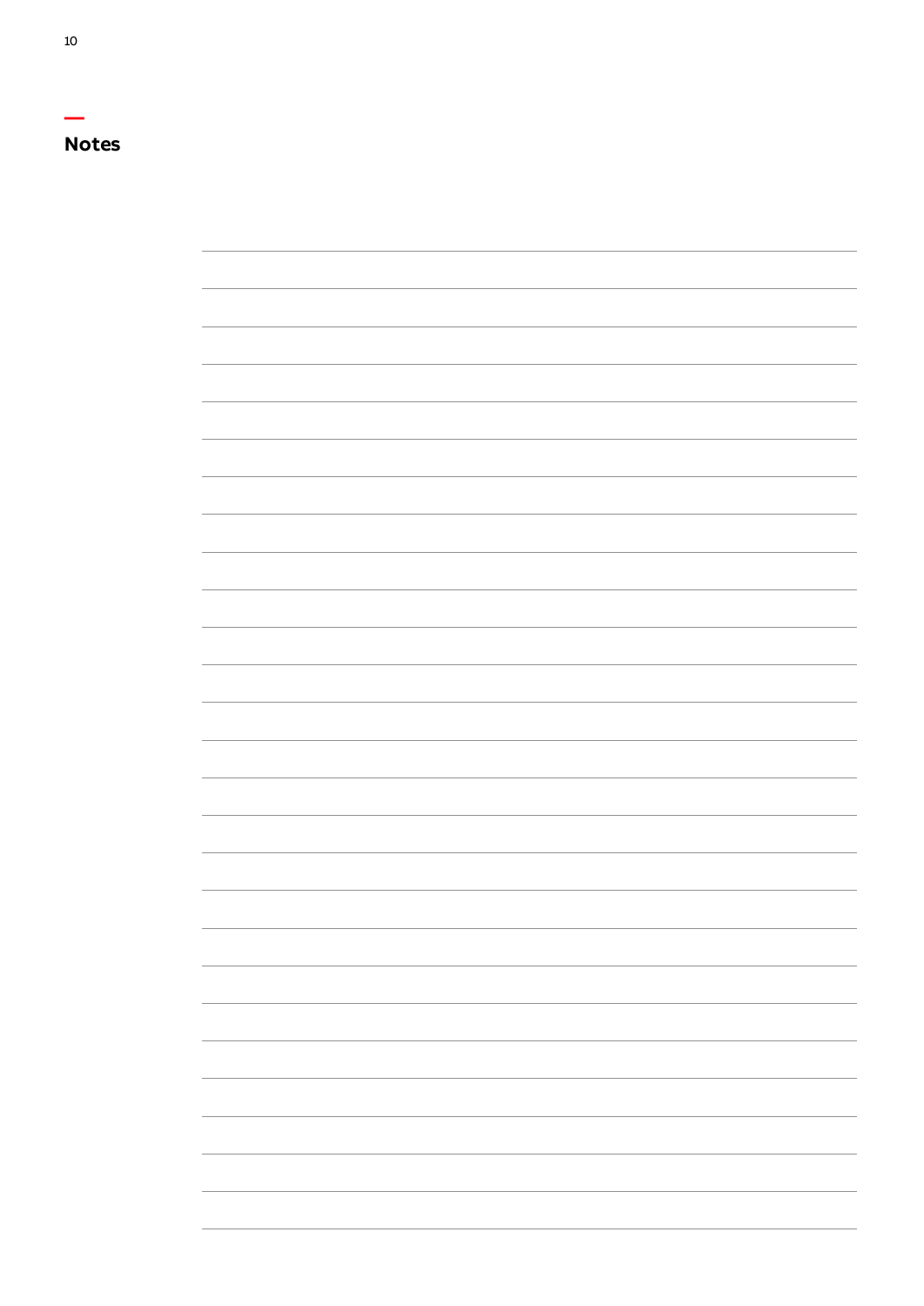# **Notes**

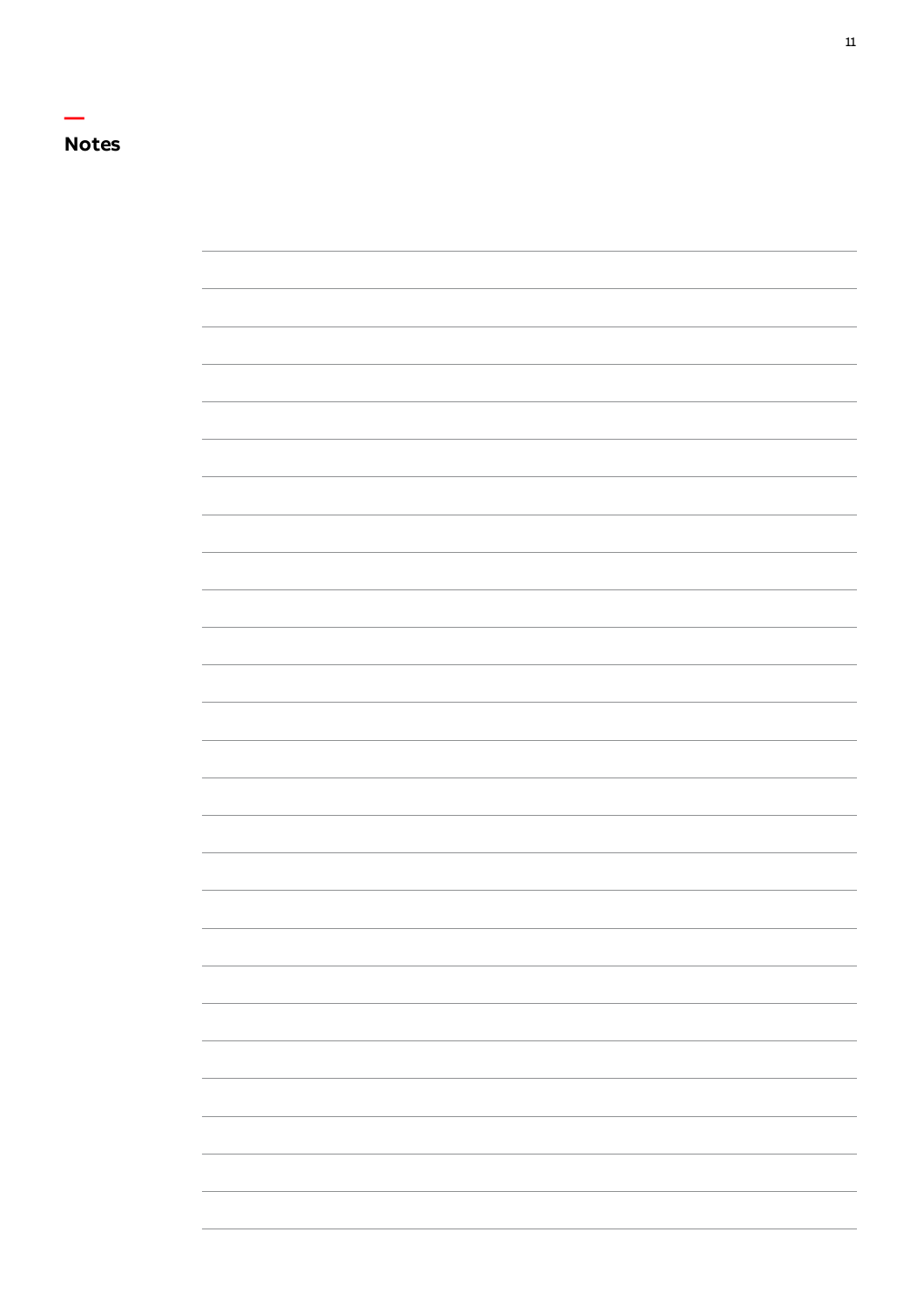

<u> 1989 - Andrea Barbara, Amerikaansk politiker (d. 1989)</u>